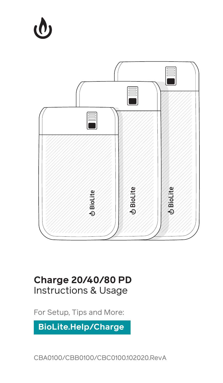# $\boldsymbol{\varphi}$



# **Charge 20/40/80 PD** Instructions & Usage

For Setup, Tips and More:

**BioLite.Help/Charge**

CBA0100/CBB0100/CBC0100.102020.RevA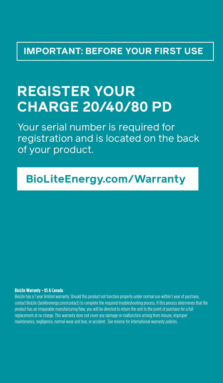# **IMPORTANT: BEFORE YOUR FIRST USE**

# **REGISTER YOUR CHARGE 20/40/80 PD**

Your serial number is required for registration and is located on the back of your product.

# **BioLiteEnergy.com/Warranty**

## **BioLite Warranty - US & Canada**

BioLite has a 1 year limited warranty. Should this product not function properly under normal use within 1 year of purchase contact BioLite (bioliteenergy.com/contact) to complete the required troubleshooting process. If this process determines that the product has an irreparable manufacturing flaw, you will be directed to return the unit to the point of purchase for a full replacement at no charge. This warranty does not cover any damage or malfunction arising from misuse, improper maintenance, negligence, normal wear and tear, or accident. See reverse for international warranty policies.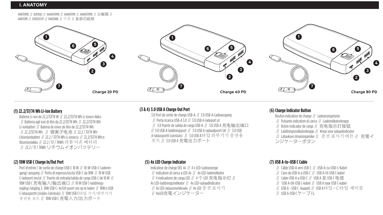ANATOMIE // AUFBAU // AANATOMIA // AANATOMI // AANATOMÍA // 分解图 // ANATOMI // OVERZICHT // RAKENNE // 구조 // 各部の説明





# **(1) 22.2/37/74 Wh Li-Ion Battery**

Batterie Li-ion de 22,2/37/74 W // 22,2/37/74 Wh Li-Ionen-Akku // Batteria agli ioni di litio da 22,2/37/74 Wh // 22,2/37/74 Wh Li-ionbatteri // Batería de iones de litio de 22,2/37/74 Wh // 22.2/37/74 Wh // 锂离子电池 // 22,2 / 37/74 Wh Litiumjonbatteri // 22,2 / 37/74 Wh Li-ionaccu // 22,2/37/74 Wh:n litiumioniakku // 22.2 / 37 / 74Wh 리튬이온배터리 // 22.2 / 37 / 74Wh リチウムイオンバッテリー

# **(2) 18W USB C Charge In/Out Port**

Port d'entrée / de sortie de charge USB-C 18 W // 18-W-USB-C-Ladeeingang/-ausgang // Porta di ingresso/uscita USB-C da 18W // 18 W USB C-ladeport inn/ut // Puerto de entrada/salida de carga USB-C de 18 W // 18W USB C 充电输入/输出端口 // 18 W USB C-laddningsingång-/utgång 2. 18W USB C- In/Uit-poort om op te laden // 18W:n USB C-latausportti (sisään-/ulostulo) // 18W USB C타입 기기/외부기기 충전용 포트 // 18W USB C 充電入力/出力ポート

# **(3 & 4) 3.0 USB A Charge Out Port**

3.0 Port de sortie de charge USB-A // 3.0 USB-A-Ladeausgang // Porta ricarica USB-A 3.0 // 3.0 USB A-ladeport ut // 3.0 Puerto de salida de carga USB-A // 3.0 USB A 充电输出端口 // 3.0 USB A-laddningsport // 3.0 USB A-oplaadpoort Uit // 3.0 USB A-latausportti (ulostulo) // 3.0 USB A타입 외부기기 충전용 포트 // 3.0 USB A 充電出力ポート

# **(5) 4x LED Charge Indicator**

Indicateur de charge DEL 4x // 4 x LED-Ladeanzeige // Indicatore di carica a LED 4x // 4x LED-ladeindikator // 4 indicadores de carga LED // 4 个 LED 充电指示灯 // 4x LED-laddningsindikator // 4x LED-oplaadindicator // 4x LED-latausmerkkivalo // 4x LED 충전 표시기 // 4xlFD充電インジケーター

# **(6) Charge Indicator Button**

Bouton indicateur de charge // Ladeanzeigetaste // Pulsante indicatore di carica // Ladeindikatorknapp // Botón indicador de carga // 充电指示灯按钮 // Laddningsindikatorknapp // Knop voor oplaadindicator // Latauksen ilmaisinpainike // 충전표시기버튼 // 充電イ ンジケーターボタン

# **(7) USB A-to-USB C Cable**

- // Câble USB-A vers USB-C // USB-A-zu-USB-C-Kabel
- // Cavo da USB-A a USB-C // USB A-til-USB C-kabel
- // Cable USB-A a USB-C // USB A 至 USB C 电缆
- // USB A-till-USB C-kabel // USB A naar USB C-kabel
- // USB A USB C -kaapeli // USB A타입-C타입 케이블
- // USB A-USB Cケーブル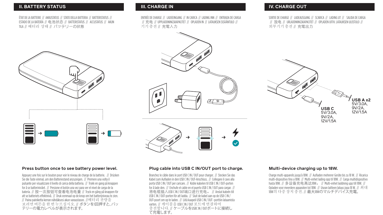# **II. BATTERY STATUS III. CHARGE IN IV. CHARGE OUT**

ÉTAT DE LA BATTERIE // AKKUSTATUS // STATO DELLA BATTERIA // BATTERISTATUS // ESTADO DE LA BATERÍA // 电池状态 // BATTERISTATUS // ACCUSTATUS // AKUN TILA // 배터리 상태 // パッテリーの状態

# 

ENTRÉE DE CHARGE // LADEEINGANG // IN CARICA // LADING INN // ENTRADA DE CARGA // 充电 // UPPLADDNINGSKAPACITET // OPLADEN IN // LATAUKSEN SISÄÄNTULO // 기기충전 // 充電入力







SORTIE DE CHARGE // LADEAUSGANG // SCARICA // LADING UT // SALIDA DE CARGA // 放电 // URLADDNINGSKAPACITET // OPLADEN UITIV. LATAUKSEN ULOSTULO // 외부기기충전 // 充電出力



# **Press button once to see battery power level.**

Appuyez une fois sur le bouton pour voir le niveau de charge de la batterie. // Drücken Sie die Taste einmal, um den Batteriestand anzuzeigen. // Premere una volta il pulsante per visualizzare il livello di carica della batteria. // Trykk en gang på knappen for å se batterinivået. // Presione el botón una vez para ver el nivel de carga de la batería. // 按一次按钮可查看电池电量 // Tryck en gång på knappen för att se batteriets effektnivå. // Druk eenmaal op de knop om het batterijniveau te zien. // Paina painiketta kerran nähdäksesi akun varaustason. //배터리 자량을 모려면버튼을 한번 누르십시오. // ボタンを1回押すと、バッ テリーの電力レベルが表示されます。

# **Plug cable into USB C IN/OUT port to charge.**

Branchez le câble dans le port USB C IN / OUT pour charger. // Stecken Sie das Kabel zum Aufladen in den USB C IN / OUT-Anschluss. // Collegare il cavo alla porta USB C IN / OUT per caricare. // Koble kabelen til USB C IN / OUT-porten for å lade den. // Enchufe el cable en el puerto USB C IN / OUT para cargar. // 将电缆插入USB CIN / OUT端口进行充电。 // Anslut kabeln till USB C IN / OUT-porten för att ladda. // Sluit de kabel aan op de USB C IN / OUT-poort om op te laden. // Liitä kaapeli USB C IN / OUT -porttiin lataamista varten. // 케이블을 USB CIN/0UT 포트에 연결하여 충전합니다. // ケーブルをUSBC IN / OUTポートに接続し て充電します。

# **Multi-device charging up to 18W.**

Charge multi-appareils jusqu'à 18W. // Aufladen mehrerer Geräte bis zu 18 W. // Ricarica multi-dispositivo fino a 18W. // Multi-enhet lading opp til 18W. // Carga multidispositivo hasta 18W. // 多设备充电高达18W。 // Multi-enhet laddning upp till 18W. // Opladen voor meerdere apparaten tot 18W. // Usean laitteen lataus jopa 18 W. // 최대 18W의 다중 장치 충전. // 最大18Wのマルチデバイス充電。